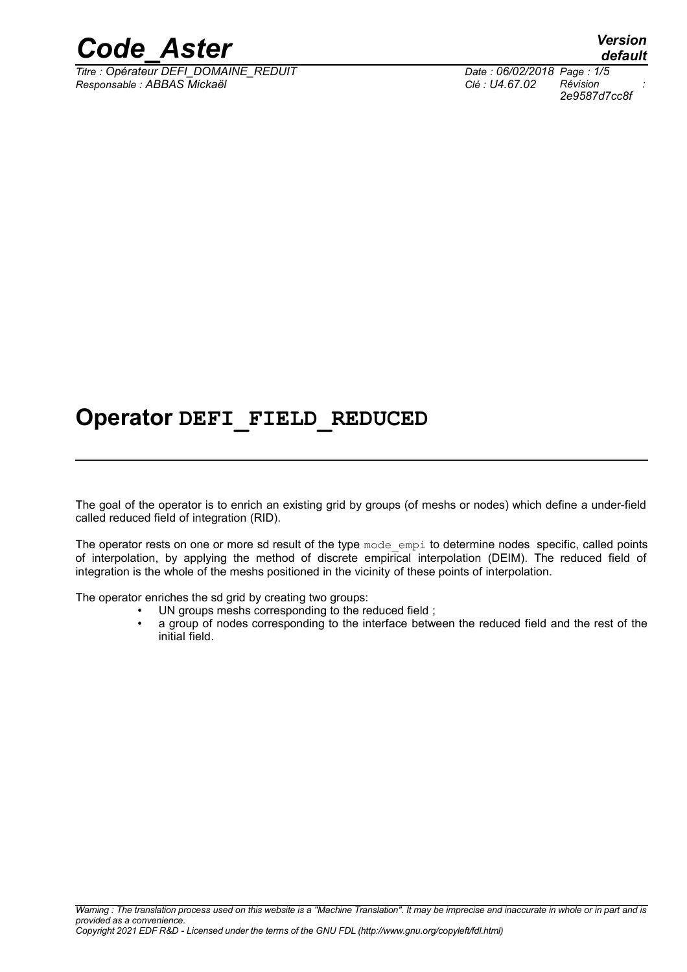

*Titre : Opérateur DEFI\_DOMAINE\_REDUIT Date : 06/02/2018 Page : 1/5 Responsable : ABBAS Mickaël Clé : U4.67.02 Révision :*

*default 2e9587d7cc8f*

### **Operator DEFI\_FIELD\_REDUCED**

The goal of the operator is to enrich an existing grid by groups (of meshs or nodes) which define a under-field called reduced field of integration (RID).

The operator rests on one or more sd result of the type mode empi to determine nodes specific, called points of interpolation, by applying the method of discrete empirical interpolation (DEIM). The reduced field of integration is the whole of the meshs positioned in the vicinity of these points of interpolation.

The operator enriches the sd grid by creating two groups:

- UN groups meshs corresponding to the reduced field;
- a group of nodes corresponding to the interface between the reduced field and the rest of the initial field.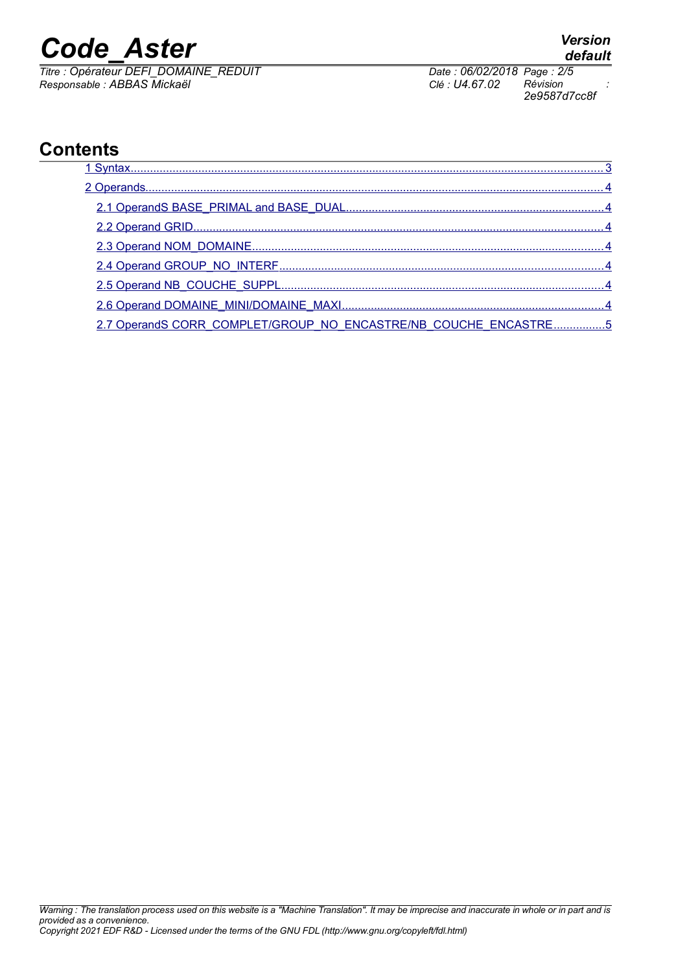# *Code\_Aster Version*

*Titre : Opérateur DEFI\_DOMAINE\_REDUIT Date : 06/02/2018 Page : 2/5 Responsable : ABBAS Mickaël Clé : U4.67.02 Révision :*

#### **Contents**

| 2.7 OperandS CORR COMPLET/GROUP NO ENCASTRE/NB COUCHE ENCASTRE5 |  |
|-----------------------------------------------------------------|--|

*2e9587d7cc8f*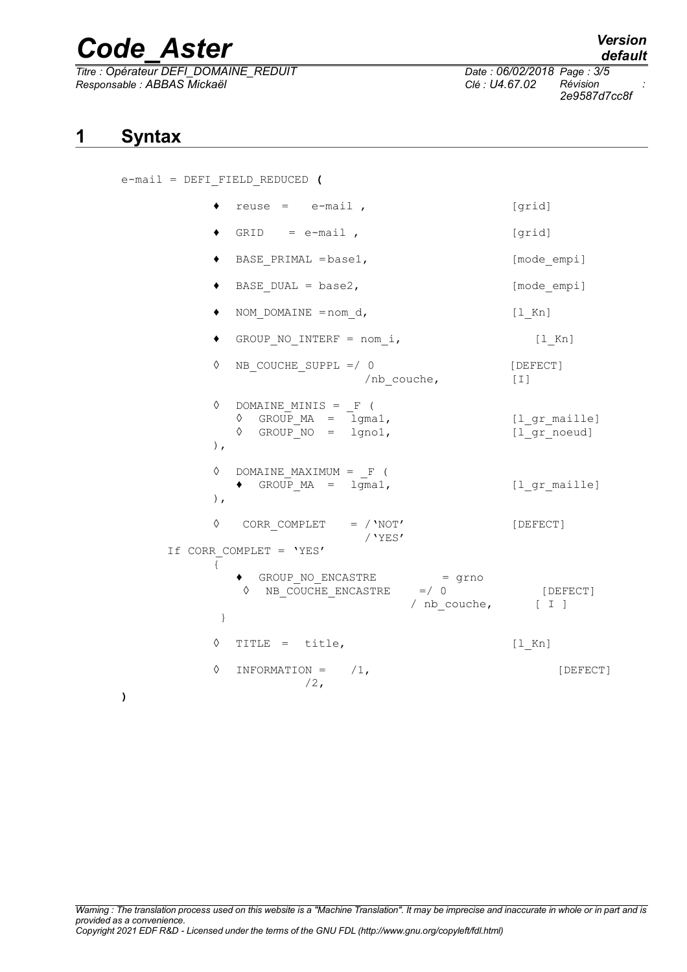# *Code\_Aster Version*

*Titre : Opérateur DEFI\_DOMAINE\_REDUIT Date : 06/02/2018 Page : 3/5 Responsable : ABBAS Mickaël Clé : U4.67.02 Révision :*

**)**

<span id="page-2-0"></span>e-mail = DEFI\_FIELD\_REDUCED **(**

|              | reuse = $e$ -mail,                                                                                        | [grid]                        |
|--------------|-----------------------------------------------------------------------------------------------------------|-------------------------------|
|              | $GRID = e-mail$ ,                                                                                         | [grid]                        |
| ٠            | BASE PRIMAL = base1,                                                                                      | [mode_empi]                   |
| ٠            | BASE DUAL = $base2$ ,                                                                                     | [mode empi]                   |
| ٠            | NOM DOMAINE = $nom d$ ,                                                                                   | $[1$ Kn]                      |
| ٠            | GROUP NO INTERF = nom i,                                                                                  | $[1$ Kn]                      |
| ♦            | NB COUCHE SUPPL $=$ / 0<br>/nb couche,                                                                    | [DEFECT]<br>$[1]$             |
| ♦<br>$\,$ ,  | DOMAINE MINIS = $F($<br>GROUP_MA = $lgmal$ ,<br>GROUP_NO = $lgno1$ ,<br>♦<br>♦                            | [1 gr maille]<br>[1 gr noeud] |
| ♦<br>$\,$ ,  | DOMAINE MAXIMUM = $_F$ (<br>GROUP $MA = 1$ gma1,<br>$\bullet$                                             | [1 gr maille]                 |
| ♦            | CORR COMPLET $=$ / 'NOT'<br>/'YES'                                                                        | [DEFECT]                      |
| $\{$<br>$\}$ | If CORR COMPLET = 'YES'<br>GROUP NO ENCASTRE = grno<br>NB_COUCHE ENCASTRE =/ 0<br>♦<br>/ nb couche, [ I ] | [DEFECT]                      |
| ♦            | TITLE = title,                                                                                            | $[1$ Kn]                      |
| ♦            | INFORMATION = $/1$ ,<br>$/2$ ,                                                                            | [DEFECT]                      |

### *default*

*2e9587d7cc8f*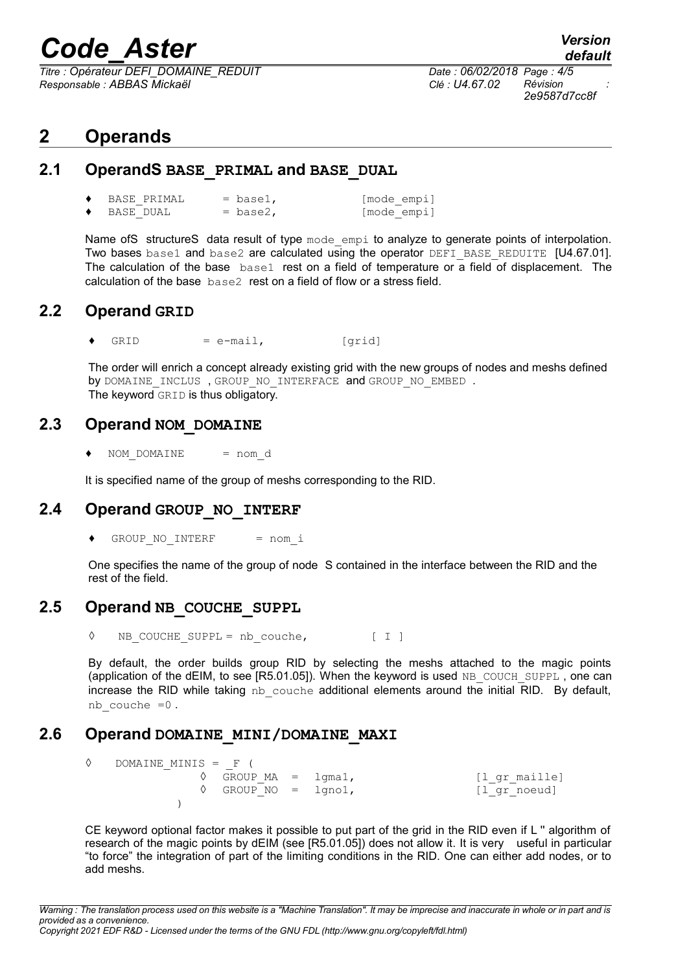## *Code\_Aster Version*

*Titre : Opérateur DEFI\_DOMAINE\_REDUIT Date : 06/02/2018 Page : 4/5 Responsable : ABBAS Mickaël Clé : U4.67.02 Révision :*

#### <span id="page-3-6"></span>**2 Operands**

#### **2.1 OperandS BASE\_PRIMAL and BASE\_DUAL**

<span id="page-3-5"></span>

| BASE PRIMAL | $=$ base1, | [mode empi] |
|-------------|------------|-------------|
| BASE DUAL   | $=$ base2, | [mode empi] |

Name ofS structureS data result of type mode empi to analyze to generate points of interpolation. Two bases base1 and base2 are calculated using the operator DEFI\_BASE\_REDUITE [U4.67.01]. The calculation of the base base1 rest on a field of temperature or a field of displacement. The calculation of the base base2 rest on a field of flow or a stress field.

#### **2.2 Operand GRID**

<span id="page-3-4"></span> $GRID = e-mail,$  [grid]

The order will enrich a concept already existing grid with the new groups of nodes and meshs defined by DOMAINE INCLUS, GROUP NO INTERFACE and GROUP NO EMBED. The keyword GRID is thus obligatory.

#### **2.3 Operand NOM\_DOMAINE**

<span id="page-3-3"></span>NOM DOMAINE = nom d

<span id="page-3-2"></span>It is specified name of the group of meshs corresponding to the RID.

#### **2.4 Operand GROUP\_NO\_INTERF**

 $\bullet$  GROUP NO INTERF = nom\_i

One specifies the name of the group of node S contained in the interface between the RID and the rest of the field.

#### **2.5 Operand NB\_COUCHE\_SUPPL**

<span id="page-3-1"></span>◊ NB\_COUCHE\_SUPPL = nb\_couche, [ I ]

By default, the order builds group RID by selecting the meshs attached to the magic points (application of the dEIM, to see  $[RS.01.05]$ ). When the keyword is used NB COUCH SUPPL, one can increase the RID while taking  $nb$  couche additional elements around the initial RID. By default, nb\_couche =0 .

#### **2.6 Operand DOMAINE\_MINI/DOMAINE\_MAXI**

<span id="page-3-0"></span> $\Diamond$  DOMAINE MINIS =  $F$  (  $\sqrt{G}$  GROUP MA = lgma1, [l gr maille] ◊ GROUP\_NO = lgno1, [l\_gr\_noeud] )

CE keyword optional factor makes it possible to put part of the grid in the RID even if L '' algorithm of research of the magic points by dEIM (see [R5.01.05]) does not allow it. It is very useful in particular "to force" the integration of part of the limiting conditions in the RID. One can either add nodes, or to add meshs.